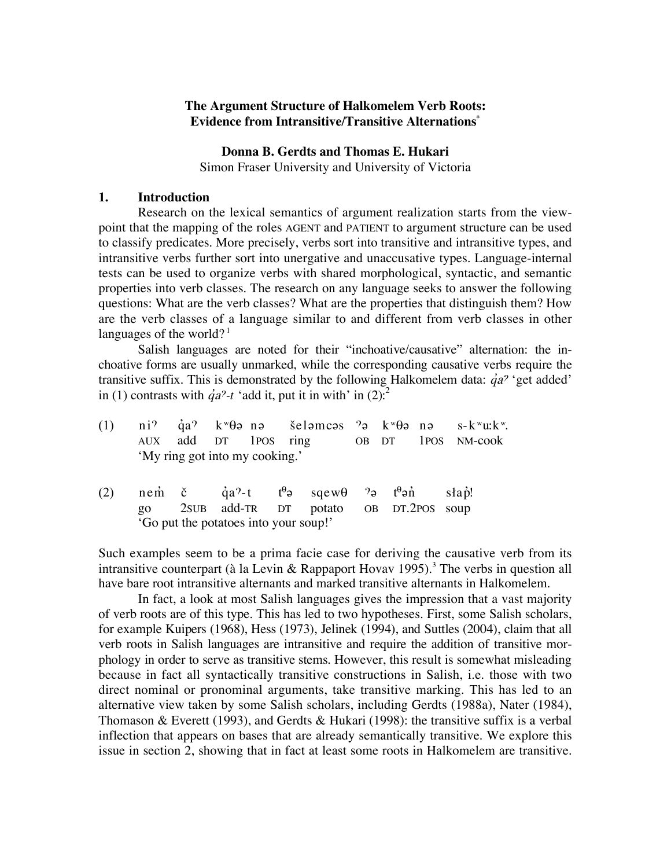## **The Argument Structure of Halkomelem Verb Roots: Evidence from Intransitive/Transitive Alternations\***

## **Donna B. Gerdts and Thomas E. Hukari**

Simon Fraser University and University of Victoria

# **1. Introduction**

Research on the lexical semantics of argument realization starts from the viewpoint that the mapping of the roles AGENT and PATIENT to argument structure can be used to classify predicates. More precisely, verbs sort into transitive and intransitive types, and intransitive verbs further sort into unergative and unaccusative types. Language-internal tests can be used to organize verbs with shared morphological, syntactic, and semantic properties into verb classes. The research on any language seeks to answer the following questions: What are the verb classes? What are the properties that distinguish them? How are the verb classes of a language similar to and different from verb classes in other languages of the world?<sup>1</sup>

Salish languages are noted for their "inchoative/causative" alternation: the inchoative forms are usually unmarked, while the corresponding causative verbs require the transitive suffix. This is demonstrated by the following Halkomelem data:  $\dot{q}a^{\gamma}$  'get added' in (1) contrasts with  $\dot{q}a^2-t$  'add it, put it in with' in (2).<sup>2</sup>

|  |                                | (1) ni? $\dot{q}a$ ? k <sup>w</sup> $\theta$ ə nə   šeləmcəs ?ə k <sup>w</sup> $\theta$ ə nə   s-k <sup>w</sup> u:k <sup>w</sup> . |  |  |
|--|--------------------------------|------------------------------------------------------------------------------------------------------------------------------------|--|--|
|  |                                | AUX add DT 1POS ring OB DT 1POS NM-cook                                                                                            |  |  |
|  | 'My ring got into my cooking.' |                                                                                                                                    |  |  |

(2) nem č qa?-t t<sup>θ</sup>ə sqewθ ?ə t<sup>θ</sup>ən słap! go 2SUB add-TR DT potato OB DT.2POS soup 'Go put the potatoes into your soup!'

Such examples seem to be a prima facie case for deriving the causative verb from its intransitive counterpart (à la Levin & Rappaport Hovav 1995).<sup>3</sup> The verbs in question all have bare root intransitive alternants and marked transitive alternants in Halkomelem.

In fact, a look at most Salish languages gives the impression that a vast majority of verb roots are of this type. This has led to two hypotheses. First, some Salish scholars, for example Kuipers (1968), Hess (1973), Jelinek (1994), and Suttles (2004), claim that all verb roots in Salish languages are intransitive and require the addition of transitive morphology in order to serve as transitive stems. However, this result is somewhat misleading because in fact all syntactically transitive constructions in Salish, i.e. those with two direct nominal or pronominal arguments, take transitive marking. This has led to an alternative view taken by some Salish scholars, including Gerdts (1988a), Nater (1984), Thomason & Everett (1993), and Gerdts & Hukari (1998): the transitive suffix is a verbal inflection that appears on bases that are already semantically transitive. We explore this issue in section 2, showing that in fact at least some roots in Halkomelem are transitive.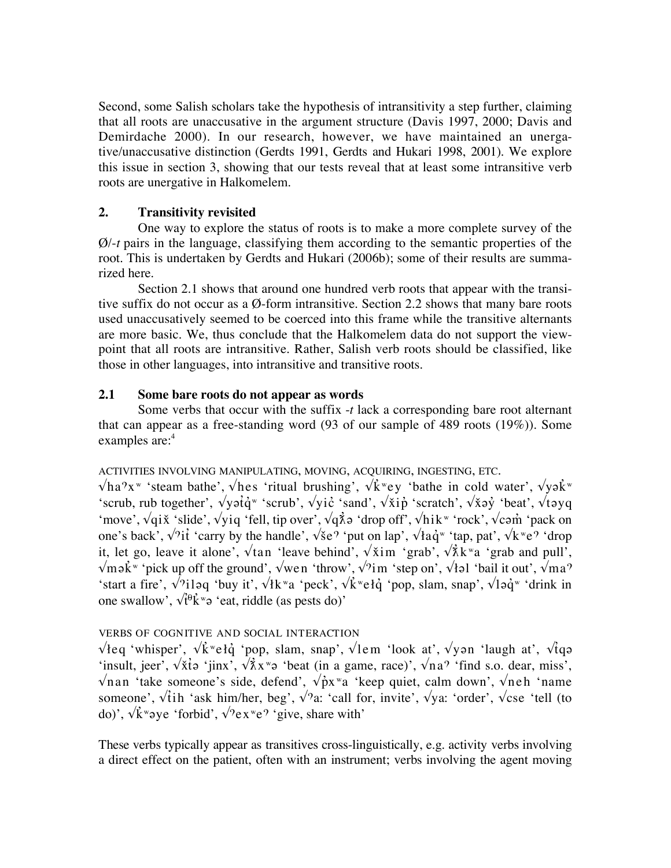Second, some Salish scholars take the hypothesis of intransitivity a step further, claiming that all roots are unaccusative in the argument structure (Davis 1997, 2000; Davis and Demirdache 2000). In our research, however, we have maintained an unergative/unaccusative distinction (Gerdts 1991, Gerdts and Hukari 1998, 2001). We explore this issue in section 3, showing that our tests reveal that at least some intransitive verb roots are unergative in Halkomelem.

# **2. Transitivity revisited**

One way to explore the status of roots is to make a more complete survey of the Ø/-*t* pairs in the language, classifying them according to the semantic properties of the root. This is undertaken by Gerdts and Hukari (2006b); some of their results are summarized here.

Section 2.1 shows that around one hundred verb roots that appear with the transitive suffix do not occur as a Ø-form intransitive. Section 2.2 shows that many bare roots used unaccusatively seemed to be coerced into this frame while the transitive alternants are more basic. We, thus conclude that the Halkomelem data do not support the viewpoint that all roots are intransitive. Rather, Salish verb roots should be classified, like those in other languages, into intransitive and transitive roots.

# **2.1 Some bare roots do not appear as words**

Some verbs that occur with the suffix -*t* lack a corresponding bare root alternant that can appear as a free-standing word (93 of our sample of 489 roots (19%)). Some examples are:<sup>4</sup>

ACTIVITIES INVOLVING MANIPULATING, MOVING, ACQUIRING, INGESTING, ETC.

 $\sqrt{\hbar}a^{\gamma}x^{\omega}$  'steam bathe',  $\sqrt{\hbar}e$  'ritual brushing',  $\sqrt{\hbar}e^{\omega}y$  'bathe in cold water',  $\sqrt{\hbar}e^{\omega}$ 'scrub, rub together',  $\sqrt{y}i\dot{q}$ <sup>w</sup> 'scrub',  $\sqrt{y}i\dot{c}$  'sand',  $\sqrt{\dot{x}}i\dot{p}$  'scratch',  $\sqrt{\dot{x}}\dot{q}$  'beat',  $\sqrt{\dot{x}}\gamma q$ 'move',  $\sqrt{q}i\tilde{x}$  'slide',  $\sqrt{y}iq$  'fell, tip over',  $\sqrt{q}\tilde{\lambda}q$  'drop off',  $\sqrt{h}i k^w$  'rock',  $\sqrt{c}q\tilde{m}$  'pack on one's back',  $\sqrt{i}i'$  'carry by the handle',  $\sqrt{8}e^{\gamma}$  'put on lap',  $\sqrt{4}a\dot{q}^w$  'tap, pat',  $\sqrt{k}^w e^{\gamma}$  'drop it, let go, leave it alone',  $\sqrt{\tan}$  'leave behind',  $\sqrt{\sin}$  'grab',  $\sqrt{\lambda}$ k<sup>w</sup>a 'grab and pull',  $\sqrt{m}$ ək<sup>"</sup> 'pick up off the ground',  $\sqrt{w}$ en 'throw',  $\sqrt{im}$  'step on',  $\sqrt{d}$  is the vertex of  $\sqrt{ma}$ <sup>?</sup> 'start a fire',  $\sqrt{$ iləq 'buy it',  $\sqrt{$ k<sup>w</sup>a 'peck',  $\sqrt{$ kwełq 'pop, slam, snap',  $\sqrt{$ ləq<sup>w</sup> 'drink in one swallow',  $\sqrt{\hat{t}^\theta \hat{k}^\theta}$  'eat, riddle (as pests do)'

# VERBS OF COGNITIVE AND SOCIAL INTERACTION

 $\sqrt{\frac{k}{\epsilon}}$  'whisper',  $\sqrt{k}$ <sup>w</sup>eł $\dot{q}$  'pop, slam, snap',  $\sqrt{\frac{k}{\epsilon}}$  'look at',  $\sqrt{\frac{k}{\epsilon}}$  'laugh at',  $\sqrt{\frac{k}{\epsilon}}$ 'insult, jeer',  $\sqrt{\dot{x}}$ to 'jinx',  $\sqrt{\dot{x}}$ x<sup>w</sup>o 'beat (in a game, race)',  $\sqrt{na}$ <sup>2</sup> 'find s.o. dear, miss',  $\sqrt{n}$ an 'take someone's side, defend',  $\sqrt{p}x^{\nu}a$  'keep quiet, calm down',  $\sqrt{n}eh$  'name someone',  $\sqrt{t}$ ih 'ask him/her, beg',  $\sqrt{2a}$ : 'call for, invite',  $\sqrt{y}$ a: 'order',  $\sqrt{x}$ cse 'tell (to do)',  $\sqrt{k}$ <sup>w</sup>aye 'forbid',  $\sqrt{2}$ ex<sup>w</sup>e<sup> $\gamma$ </sup> 'give, share with'

These verbs typically appear as transitives cross-linguistically, e.g. activity verbs involving a direct effect on the patient, often with an instrument; verbs involving the agent moving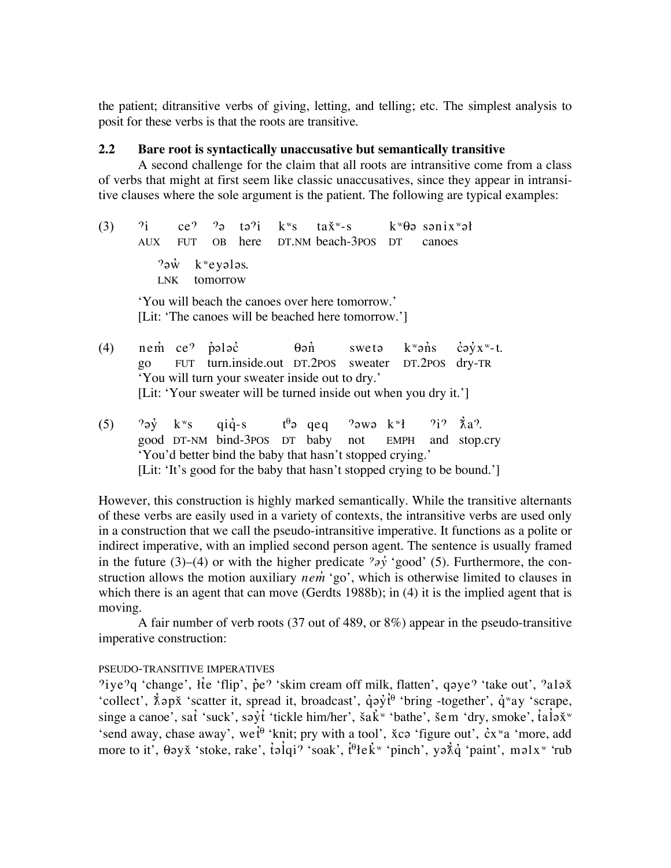the patient; ditransitive verbs of giving, letting, and telling; etc. The simplest analysis to posit for these verbs is that the roots are transitive.

## **2.2 Bare root is syntactically unaccusative but semantically transitive**

A second challenge for the claim that all roots are intransitive come from a class of verbs that might at first seem like classic unaccusatives, since they appear in intransitive clauses where the sole argument is the patient. The following are typical examples:

(3)  $\dot{v}_i$  ce<sup> $\dot{v}_i$ </sup> tə $\dot{v}_i$  k<sup>w</sup>s ta $\dot{x}^w$ -s k<sup>w</sup> $\theta$ ə sənix $w$ ət AUX FUT OB here DT.NM beach-3POS DT canoes  $?$  $\dot{w}$  k<sup>w</sup>eyələs. LNK tomorrow 'You will beach the canoes over here tomorrow.' [Lit: 'The canoes will be beached here tomorrow.'] (4) nem ce<sup> $\gamma$ </sup> poloc  $\theta$ on sweto k®ons coy $x^w$ -t. go FUT turn.inside.out DT.2POS sweater DT.2POS dry-TR 'You will turn your sweater inside out to dry.' [Lit: 'Your sweater will be turned inside out when you dry it.']

(5)  $\partial q\dot{y}$  kws qiq-s  $t^{\theta}q$  qeq  $\partial q\dot{y}$  kwe  $\partial q\dot{y}$   $\dot{\chi}a\partial$ . good DT-NM bind-3POS DT baby not EMPH and stop.cry 'You'd better bind the baby that hasn't stopped crying.' [Lit: 'It's good for the baby that hasn't stopped crying to be bound.']

However, this construction is highly marked semantically. While the transitive alternants of these verbs are easily used in a variety of contexts, the intransitive verbs are used only in a construction that we call the pseudo-intransitive imperative. It functions as a polite or indirect imperative, with an implied second person agent. The sentence is usually framed in the future (3)–(4) or with the higher predicate  $\partial \dot{\gamma}$  'good' (5). Furthermore, the construction allows the motion auxiliary *nem* 'go', which is otherwise limited to clauses in which there is an agent that can move (Gerdts 1988b); in (4) it is the implied agent that is moving.

A fair number of verb roots (37 out of 489, or 8%) appear in the pseudo-transitive imperative construction:

# PSEUDO-TRANSITIVE IMPERATIVES

'iye'q 'change', ite 'flip', p<sup>o</sup>° 'skim cream off milk, flatten', qoye<sup>9</sup> 'take out', 'alox 'collect',  $\vec{\lambda}$  ap $\vec{x}$  'scatter it, spread it, broadcast',  $\dot{q}$ ay 'bring -together',  $\dot{q}$ <sup>w</sup>ay 'scrape, singe a canoe', sat 'suck', səyt 'tickle him/her', ša $\vec{k}$ <sup>w</sup> 'bathe', šem 'dry, smoke', talə $\check{x}$ <sup>w</sup> 'send away, chase away', we<sup> $i\theta$ </sup> 'knit; pry with a tool',  $\check{x}$ ca 'figure out',  $\check{c}x^{\check{w}}a$  'more, add more to it',  $\theta$ əy $\check{x}$  'stoke, rake', təlqi? 'soak',  $\hat{t}^0$ te $\check{k}$ <sup>w</sup> 'pinch', yə $\check{\chi}$ q 'paint', məl $x^w$  'rub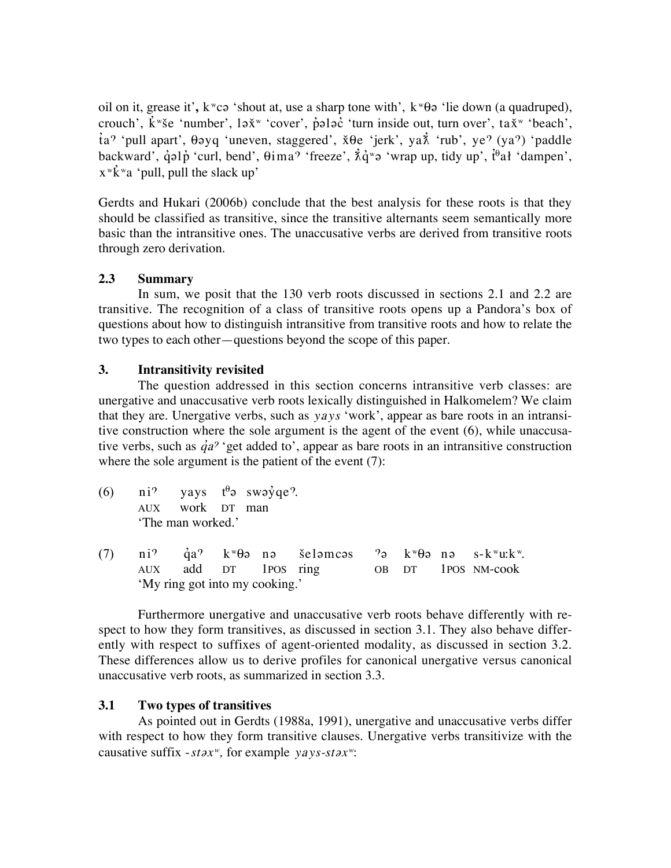oil on it, grease it', k<sup>w</sup>ca 'shout at, use a sharp tone with', k<sup>w</sup> $\theta$ a 'lie down (a quadruped), crouch',  $\vec{k}$  "se 'number', l $\vec{x}$ " 'cover', p $\vec{p}$ l $\vec{p}$  'turn inside out, turn over', ta $\vec{x}$ " 'beach',  $\hat{t}a^{\gamma}$  'pull apart',  $\theta$ əyq 'uneven, staggered',  $\check{x}\theta e$  'jerk', ya $\check{\gamma}$  'rub', ye<sup> $\gamma$ </sup> (ya<sup> $\gamma$ </sup>) 'paddle backward', q̂əlp 'curl, bend',  $\theta$ ima<sup>?</sup> 'freeze',  $\dot{\hat{\Lambda}}\dot{q}$ <sup>w</sup>ə 'wrap up, tidy up', t<sup> $\theta$ </sup>ał 'dampen',  $x^w$ k "a 'pull, pull the slack up'

Gerdts and Hukari (2006b) conclude that the best analysis for these roots is that they should be classified as transitive, since the transitive alternants seem semantically more basic than the intransitive ones. The unaccusative verbs are derived from transitive roots through zero derivation.

# **2.3 Summary**

In sum, we posit that the 130 verb roots discussed in sections 2.1 and 2.2 are transitive. The recognition of a class of transitive roots opens up a Pandora's box of questions about how to distinguish intransitive from transitive roots and how to relate the two types to each other—questions beyond the scope of this paper.

# **3. Intransitivity revisited**

The question addressed in this section concerns intransitive verb classes: are unergative and unaccusative verb roots lexically distinguished in Halkomelem? We claim that they are. Unergative verbs, such as *yays* 'work', appear as bare roots in an intransitive construction where the sole argument is the agent of the event (6), while unaccusative verbs, such as  $\dot{q}a^{\gamma}$  'get added to', appear as bare roots in an intransitive construction where the sole argument is the patient of the event  $(7)$ :

- (6) ni<sup> $9$ </sup> yays  $t^{\theta}$  swayqe?. AUX work DT man 'The man worked.'
- (7) ni<sup> $\dot{q}$ </sup> qa<sup> $\dot{q}$ </sup> k $\theta$ ə nə seləmcəs  $\dot{q}$  k $\theta$ ə nə s-k $\theta$ u:k $\dot{q}$ . AUX add DT 1POS ring OB DT 1POS NM-cook 'My ring got into my cooking.'

Furthermore unergative and unaccusative verb roots behave differently with respect to how they form transitives, as discussed in section 3.1. They also behave differently with respect to suffixes of agent-oriented modality, as discussed in section 3.2. These differences allow us to derive profiles for canonical unergative versus canonical unaccusative verb roots, as summarized in section 3.3.

# **3.1 Two types of transitives**

As pointed out in Gerdts (1988a, 1991), unergative and unaccusative verbs differ with respect to how they form transitive clauses. Unergative verbs transitivize with the causative suffix -*stax<sup>w</sup>*, for example *yays-stax<sup>w</sup>*: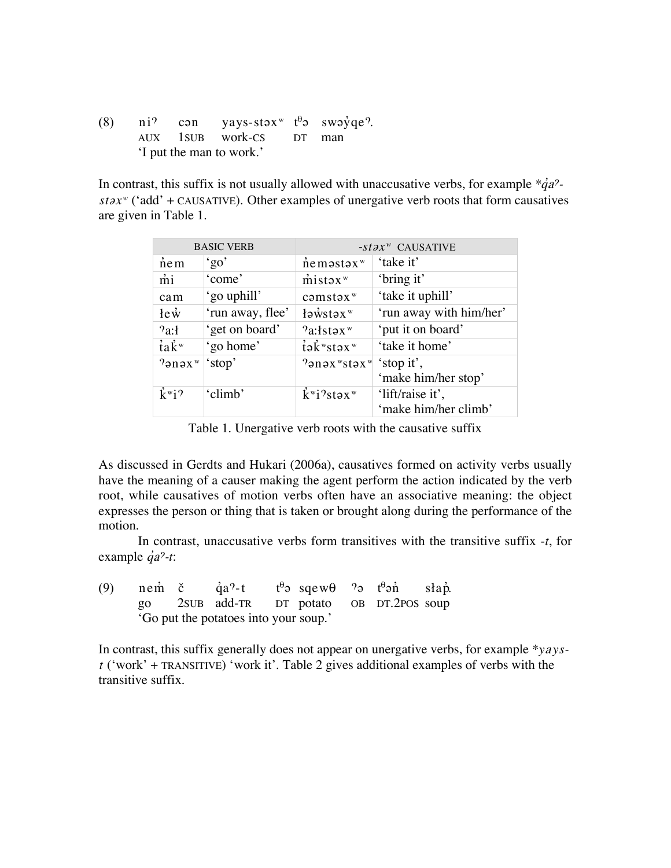(8) ni<sup> $\degree$ </sup> con yays-stox<sup>w</sup>  $t^{\theta}$ o swo $\dot{\degree}$ qe<sup>9</sup>. AUX 1SUB work-CS DT man 'I put the man to work.'

In contrast, this suffix is not usually allowed with unaccusative verbs, for example  $\dot{\phi}q\dot{a}^2$  $stax^w$  ('add' + CAUSATIVE). Other examples of unergative verb roots that form causatives are given in Table"1.

| <b>BASIC VERB</b>            |                  |                                                                | $-stax^w$ CAUSATIVE     |
|------------------------------|------------------|----------------------------------------------------------------|-------------------------|
| $n$ em                       | 'go'             | $n$ e məstəx $w$                                               | 'take it'               |
| mi                           | 'come'           | $m$ istəx $w$                                                  | 'bring it'              |
| cam                          | 'go uphill'      | $c \in \mathbb{R}^m$ stəx $w$                                  | 'take it uphill'        |
| $\text{le } \dot{\text{w}}$  | 'run away, flee' | $\frac{1}{2}$ awstax <sup>w</sup>                              | 'run away with him/her' |
| 2a:1                         | 'get on board'   | $2a$ : <i>s</i> təx <sup>w</sup>                               | 'put it on board'       |
| $i\in\mathbb{R}^w$           | 'go home'        | $i\partial$ <sub>w</sub> stax <sup>w</sup>                     | 'take it home'          |
| $?$ ənəx $\mathbb{R}^w$      | 'stop'           | $\gamma$ an $\alpha$ <sup>w</sup> stax <sup>w</sup> 'stop it', |                         |
|                              |                  |                                                                | 'make him/her stop'     |
| $\mathbf{k}^{\mathrm{w}}$ i? | 'climb'          | $\mathbf{k}^{\mathrm{w}}$ i?stəx $\mathrm{w}$                  | 'lift/raise it',        |
|                              |                  |                                                                | 'make him/her climb'    |

Table 1. Unergative verb roots with the causative suffix

As discussed in Gerdts and Hukari (2006a), causatives formed on activity verbs usually have the meaning of a causer making the agent perform the action indicated by the verb root, while causatives of motion verbs often have an associative meaning: the object expresses the person or thing that is taken or brought along during the performance of the motion.

In contrast, unaccusative verbs form transitives with the transitive suffix -*t*, for example  $\dot{q}a^2-t$ :

|  | (9) nem č $\dot{q}a^2-t$ t <sup><math>\theta_{\theta}</math></sup> sqew $\theta$ $\theta_{\theta}$ t $\theta_{\theta}$ shap. |  |  |  |
|--|------------------------------------------------------------------------------------------------------------------------------|--|--|--|
|  | go 2sub add-TR DT potato OB DT.2POS soup                                                                                     |  |  |  |
|  | 'Go put the potatoes into your soup.'                                                                                        |  |  |  |

In contrast, this suffix generally does not appear on unergative verbs, for example *\*yayst* ('work' + TRANSITIVE) 'work it'. Table 2 gives additional examples of verbs with the transitive suffix.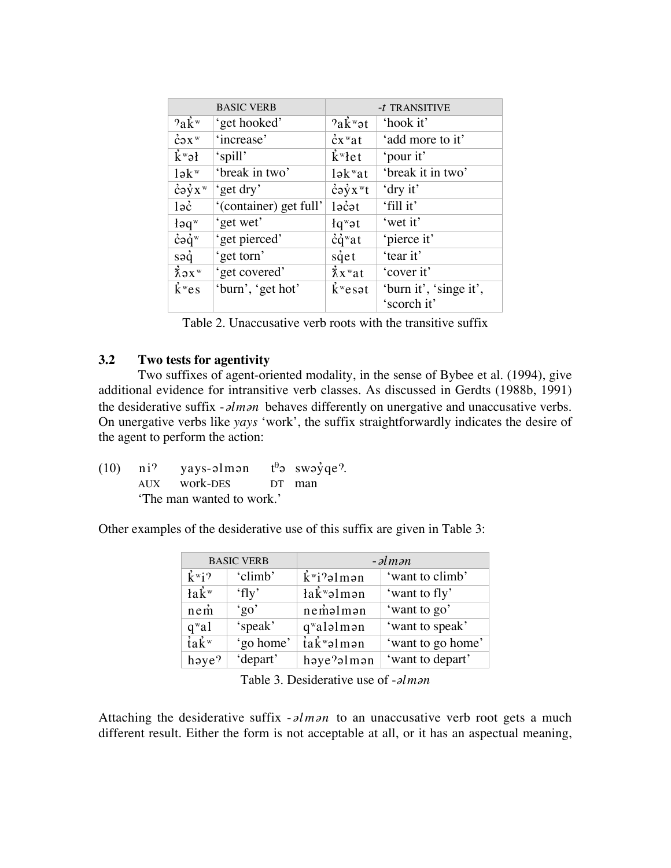| <b>BASIC VERB</b>            |                        |                               | $-t$ TRANSITIVE        |
|------------------------------|------------------------|-------------------------------|------------------------|
| $2a\ddot{k}$ <sup>w</sup>    | 'get hooked'           | $2a\ddot{k}$ $\text{V}$       | 'hook it'              |
| $\text{c}$ <sup>w</sup>      | 'increase'             | $\dot{c}$ x "at               | 'add more to it'       |
| $\mathbf{k}^{\mathrm{w}}$ əł | 'spill'                | $\mathbf{k}^{\mathrm{w}}$ let | 'pour it'              |
| $l \partial k^w$             | 'break in two'         | $lək$ <sup>w</sup> at         | 'break it in two'      |
| $\dot{c}$ əyx $w$            | 'get dry'              | $\dot{c}$ əyx <sup>w</sup> t  | 'dry it'               |
| 1 <sub>9c</sub>              | '(container) get full' | $l$ $\vec{c}$ $\alpha t$      | 'fill it'              |
| $\text{4a}^w$                | 'get wet'              | $lq^{\mathbf{w}}$ ət          | 'wet it'               |
| $\dot{c}$ ə $\dot{q}^w$      | 'get pierced'          | $\dot{c}\dot{q}$ wat          | 'pierce it'            |
| $s$ ə $\dot{q}$              | 'get torn'             | $s\dot{q}$ et                 | 'tear it'              |
| $\lambda$ ax $\mathbb{R}^w$  | 'get covered'          | $\lambda x^{\mathrm{w}}$ at   | 'cover it'             |
| $\mathbf{k}^w$ es            | 'burn', 'get hot'      | $\dot{k}$ <sup>w</sup> esat   | 'burn it', 'singe it', |
|                              |                        |                               | 'scorch it'            |

Table 2. Unaccusative verb roots with the transitive suffix

# **3.2 Two tests for agentivity**

Two suffixes of agent-oriented modality, in the sense of Bybee et al. (1994), give additional evidence for intransitive verb classes. As discussed in Gerdts (1988b, 1991) the desiderative suffix -*alman* behaves differently on unergative and unaccusative verbs. On unergative verbs like *yays* 'work', the suffix straightforwardly indicates the desire of the agent to perform the action:

(10) ni<sup>9</sup> yays-alman  $t^{\theta}$ a swayqe?. AUX work-DES DT man 'The man wanted to work.'

Other examples of the desiderative use of this suffix are given in Table 3:

| <b>BASIC VERB</b>            |           | $-alman$                                |                   |  |
|------------------------------|-----------|-----------------------------------------|-------------------|--|
| $\mathbf{k}^{\mathrm{w}}$ i? | 'climb'   | $\dot{\mathbf{k}}$ <sup>w</sup> i?əlmən | 'want to climb'   |  |
| $\lambda$                    | 'fly'     | łak <sup>w</sup> əlmən                  | 'want to fly'     |  |
| $n$ em                       | 'go'      | nemalman                                | 'want to go'      |  |
| $q^{\mathbf{w}}$ al          | 'speak'   | qwalalman                               | 'want to speak'   |  |
| $i\partial x^w$              | 'go home' | tak <sup>w</sup> əlmən                  | 'want to go home' |  |
| haye?                        | 'depart'  | $h$ aye $2$ al m an                     | 'want to depart'  |  |

|  |  | Table 3. Desiderative use of <i>-alman</i> |
|--|--|--------------------------------------------|
|--|--|--------------------------------------------|

Attaching the desiderative suffix  $\text{-}\lambda l$  *m* $\lambda$  to an unaccusative verb root gets a much different result. Either the form is not acceptable at all, or it has an aspectual meaning,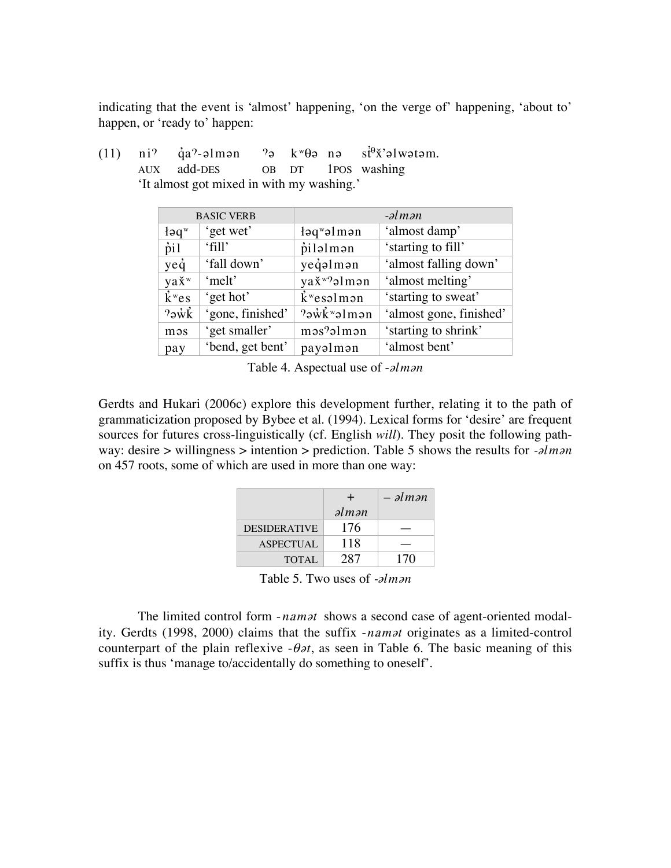indicating that the event is 'almost' happening, 'on the verge of' happening, 'about to' happen, or 'ready to' happen:

| (11) | $ni^{\gamma}$ |                              | $\dot{q}a^2$ -əlmən<br>$\gamma_{\mathcal{D}}$ | $k^w\theta$ ə nə                       | $s \dot{t}^{\theta} \dot{x}$ 'əl wətəm. |
|------|---------------|------------------------------|-----------------------------------------------|----------------------------------------|-----------------------------------------|
|      | <b>AUX</b>    |                              | add-DES<br><b>OB</b>                          | 1 <sub>POS</sub><br>DT                 | washing                                 |
|      |               |                              | 'It almost got mixed in with my washing.'     |                                        |                                         |
|      |               |                              | <b>BASIC VERB</b>                             |                                        | $-\partial l$ <i>m</i> $\partial n$     |
|      |               | log <sup>w</sup>             | 'get wet'                                     | $log$ walman                           | 'almost damp'                           |
|      |               | $\dot{p}$ il                 | 'fill'                                        | pilalman                               | 'starting to fill'                      |
|      |               | yeq                          | 'fall down'                                   | yeqəlmən                               | 'almost falling down'                   |
|      |               | ya <i>x</i> <sup>w</sup>     | 'melt'                                        | yax <sup>w</sup> ?almən                | 'almost melting'                        |
|      |               | $\mathbf{k}^{\mathrm{w}}$ es | 'get hot'                                     | $\dot{k}$ <sup>w</sup> esəlmən         | 'starting to sweat'                     |
|      |               | $2\pi\ddot{k}$               | 'gone, finished'                              | $?$ <sub>3</sub> wk <sup>w</sup> alman | 'almost gone, finished'                 |
|      |               | məs                          | 'get smaller'                                 | məs?əlmən                              | 'starting to shrink'                    |
|      |               | pay                          | 'bend, get bent'                              | payəlmən                               | 'almost bent'                           |

Table 4. Aspectual use of *-* $\partial l$ *m* $\partial n$ 

Gerdts and Hukari (2006c) explore this development further, relating it to the path of grammaticization proposed by Bybee et al. (1994). Lexical forms for 'desire' are frequent sources for futures cross-linguistically (cf. English *will*). They posit the following pathway: desire > willingness > intention > prediction. Table 5 shows the results for  $\text{-} \lambda l$  m $\lambda n$ on 457 roots, some of which are used in more than one way:

|                     | +                                  | $-$ əlmən |
|---------------------|------------------------------------|-----------|
|                     | $\partial l$ <i>m</i> $\partial n$ |           |
| <b>DESIDERATIVE</b> | 176                                |           |
| <b>ASPECTUAL</b>    | 118                                |           |
| <b>TOTAL</b>        | 287                                | 170       |

Table 5. Two uses of *-alman* 

The limited control form *-namat* shows a second case of agent-oriented modality. Gerdts (1998, 2000) claims that the suffix *-namat* originates as a limited-control counterpart of the plain reflexive  $-\theta \partial t$ , as seen in Table 6. The basic meaning of this suffix is thus 'manage to/accidentally do something to oneself'.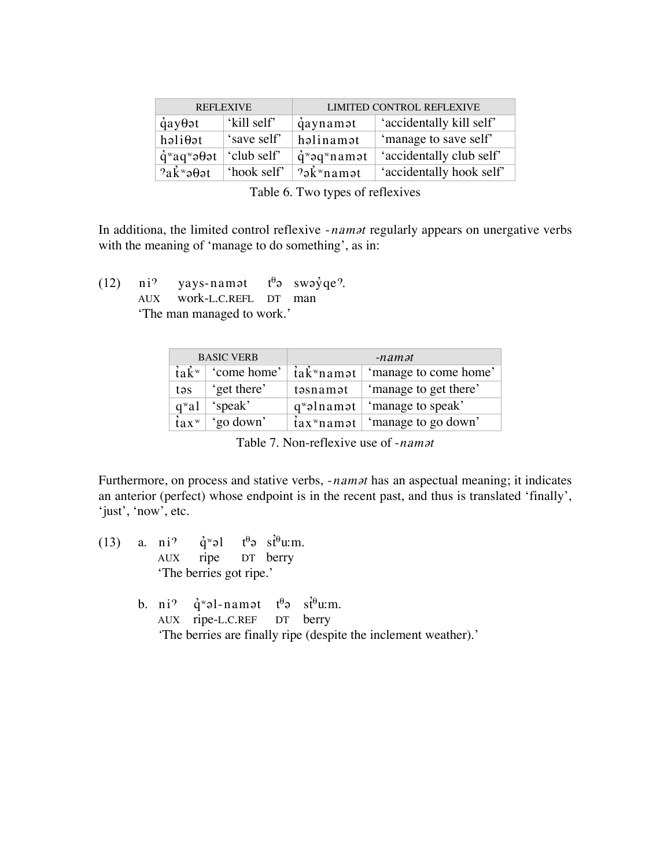| <b>REFLEXIVE</b>                                     |             | <b>LIMITED CONTROL REFLEXIVE</b>             |                          |
|------------------------------------------------------|-------------|----------------------------------------------|--------------------------|
| $\dot{q}$ ay $\theta$ ət                             | 'kill self' | qaynamət                                     | 'accidentally kill self' |
| həliθət                                              | 'save self' | həlinamət                                    | 'manage to save self'    |
| $\dot{q}$ <sup>w</sup> aq <sup>w</sup> ə $\theta$ ət | 'club self' | $\dot{q}$ <sup>w</sup> əq <sup>w</sup> namət | 'accidentally club self' |
| $2a\ddot{k}$ <sup>w</sup> ə $\theta$ ət              | 'hook self' | $2\delta$ <sup>w</sup> namat                 | 'accidentally hook self' |

Table 6. Two types of reflexives

In additiona, the limited control reflexive *-namat* regularly appears on unergative verbs with the meaning of 'manage to do something', as in:

(12) ni<sup>9</sup> yays-namat  $t^{\theta}$ a swayqe?. AUX work-L.C.REFL DT man

'The man managed to work.'

| <b>BASIC VERB</b>              |             | $-namat$                                          |                       |  |
|--------------------------------|-------------|---------------------------------------------------|-----------------------|--|
| $i\in\mathbb{R}^w$             | 'come home' | tak <sup>w</sup> namət                            | 'manage to come home' |  |
| təs                            | 'get there' | təsnamət                                          | 'manage to get there' |  |
| $q^{\mathrm{w}}$ al            | 'speak'     | $q^{w}$ əlnamət                                   | 'manage to speak'     |  |
| $\frac{3}{2}$ ax $\frac{1}{2}$ | 'go down'   | $\frac{1}{2}$ tax <sup>w</sup> name $\frac{1}{2}$ | 'manage to go down'   |  |

Table 7. Non-reflexive use of *-namat* 

Furthermore, on process and stative verbs, *-namat* has an aspectual meaning; it indicates an anterior (perfect) whose endpoint is in the recent past, and thus is translated 'finally', 'just', 'now', etc.

(13) a. ni<sup>?</sup>  $\dot{q}$ <sup>w</sup>əl  $t^{\theta}$ ə si $\dot{t}^{\theta}$ u:m. AUX ripe DT berry 'The berries got ripe.' b. ni<sup>9</sup>  $\dot{q}$ <sup>w</sup>əl-namət t<sup> $\theta$ </sup>ə st<sup> $\theta$ </sup>u:m. AUX ripe-L.C.REF DT berry *'*The berries are finally ripe (despite the inclement weather).'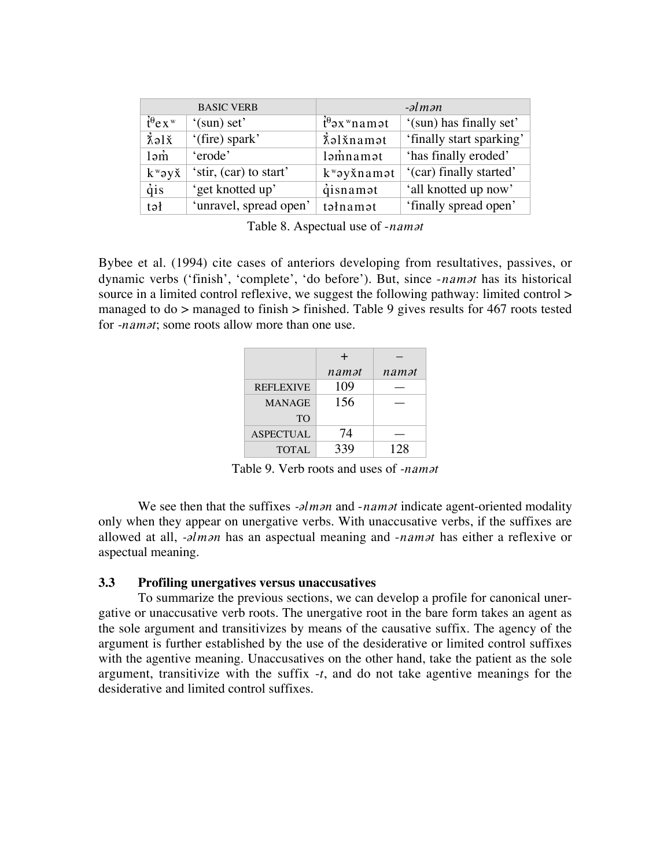|                               | <b>BASIC VERB</b>      |                                          | $\mathcal{O}$ -əlmən     |
|-------------------------------|------------------------|------------------------------------------|--------------------------|
| $\dot{t}^{\theta}$ e x $^{w}$ | '(sun) set'            | $\dot{t}^{\theta}$ əx <sup>w</sup> namət | '(sun) has finally set'  |
| $\chi$ alx                    | '(fire) spark'         | <i>i</i> slxnamat                        | 'finally start sparking' |
| $l$ əm                        | 'erode'                | ləmnamət                                 | 'has finally eroded'     |
| $k^{\nu}$ əy $\check{x}$      | 'stir, (car) to start' | kway xnamat                              | '(car) finally started'  |
| dis                           | 'get knotted up'       | qisnamat                                 | 'all knotted up now'     |
| $t \partial t$                | 'unravel, spread open' | təlnamət                                 | 'finally spread open'    |

Table 8. Aspectual use of -*namat* 

Bybee et al. (1994) cite cases of anteriors developing from resultatives, passives, or dynamic verbs ('finish', 'complete', 'do before'). But, since *-namat* has its historical source in a limited control reflexive, we suggest the following pathway: limited control > managed to do  $>$  managed to finish  $>$  finished. Table 9 gives results for 467 roots tested for *-namat*; some roots allow more than one use.

|                  | +     |       |
|------------------|-------|-------|
|                  | namət | namət |
| <b>REFLEXIVE</b> | 109   |       |
| <b>MANAGE</b>    | 156   |       |
| T <sub>O</sub>   |       |       |
| <b>ASPECTUAL</b> | 74    |       |
| <b>TOTAL</b>     | 339   | 128   |

Table 9. Verb roots and uses of *-namat* 

We see then that the suffixes *-* $\partial \mathbf{m}$  *and -nampt* indicate agent-oriented modality only when they appear on unergative verbs. With unaccusative verbs, if the suffixes are allowed at all, *-* $\partial$ *lm* $\partial$ *n* has an aspectual meaning and *-nam* $\partial$ *t* has either a reflexive or aspectual meaning.

## **3.3 Profiling unergatives versus unaccusatives**

To summarize the previous sections, we can develop a profile for canonical unergative or unaccusative verb roots. The unergative root in the bare form takes an agent as the sole argument and transitivizes by means of the causative suffix. The agency of the argument is further established by the use of the desiderative or limited control suffixes with the agentive meaning. Unaccusatives on the other hand, take the patient as the sole argument, transitivize with the suffix -*t*, and do not take agentive meanings for the desiderative and limited control suffixes.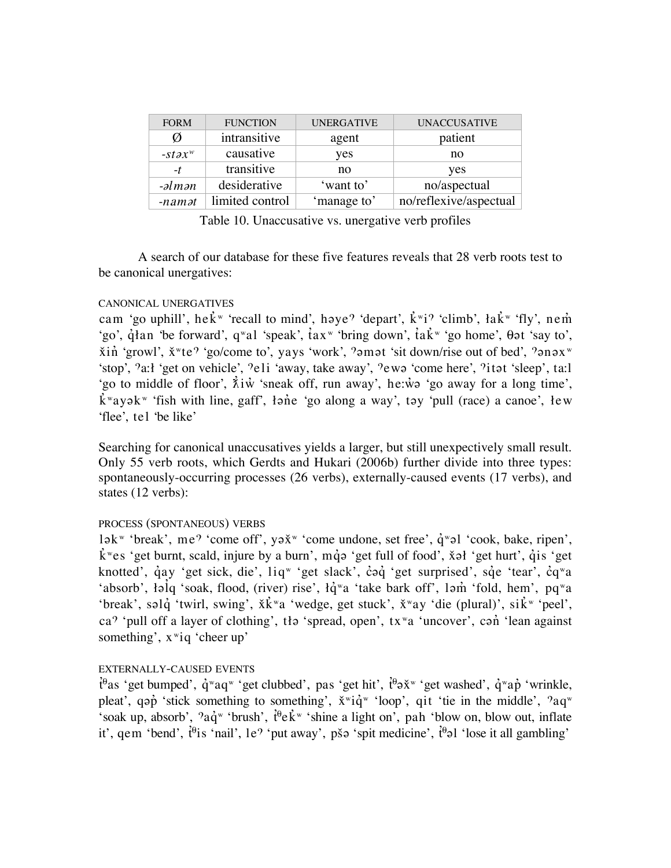| <b>FORM</b>                         | <b>FUNCTION</b> | <b>UNERGATIVE</b> | <b>UNACCUSATIVE</b>    |
|-------------------------------------|-----------------|-------------------|------------------------|
| Ø                                   | intransitive    | agent             | patient                |
| $-stax^w$                           | causative       | ves               | no                     |
| -t                                  | transitive      | no                | yes                    |
| $-\partial l$ <i>m</i> $\partial n$ | desiderative    | 'want to'         | no/aspectual           |
| $-namat$                            | limited control | 'manage to'       | no/reflexive/aspectual |

Table 10. Unaccusative vs. unergative verb profiles

A search of our database for these five features reveals that 28 verb roots test to be canonical unergatives:

## CANONICAL UNERGATIVES

cam 'go uphill', he $\vec{k}$ <sup>w</sup> 'recall to mind', həye<sup> $\gamma$ </sup> 'depart',  $\vec{k}$ <sup>w</sup>i<sup> $\gamma$ </sup> 'climb', ła $\vec{k}$ <sup>w</sup> 'fly', nem 'go',  $\hat{q}$ lan 'be forward', qwal 'speak',  $\hat{t}$ axw 'bring down',  $\hat{t}$ a $\hat{k}$ w 'go home',  $\theta$  at 'say to',  $\chi$ in 'growl',  $\chi$ <sup>w</sup>te? 'go/come to', yays 'work', ?amat 'sit down/rise out of bed', ?anax<sup>w</sup> 'stop', 'a: l'get on vehicle', 'eli 'away, take away', 'ewa' come here', 'itat 'sleep', ta: l' 'go to middle of floor',  $\vec{\lambda}$ i $\vec{w}$  'sneak off, run away', he: $\vec{w}$  'go away for a long time',  $\mathbf{k}^{\mathrm{w}}$ ayə $\mathbf{k}^{\mathrm{w}}$  'fish with line, gaff', łənc 'go along a way', təy 'pull (race) a canoe',  $\mathbf{f}$ ew 'flee', tel 'be like'

Searching for canonical unaccusatives yields a larger, but still unexpectively small result. Only 55 verb roots, which Gerdts and Hukari (2006b) further divide into three types: spontaneously-occurring processes (26 verbs), externally-caused events (17 verbs), and states (12 verbs):

# PROCESS (SPONTANEOUS) VERBS

lək<sup>w</sup> 'break', me<sup>9</sup> 'come off', yə $x^w$  'come undone, set free',  $\dot{q}$ <sup>w</sup>əl 'cook, bake, ripen',  $\mathbf{k}$ <sup>w</sup>es 'get burnt, scald, injure by a burn', mq̂ə 'get full of food', x̌əł 'get hurt', qis 'get knotted', qay 'get sick, die', liqw 'get slack', co i 'get surprised', sq e 'tear', cqwa 'absorb',  $\text{19}$ iq 'soak, flood, (river) rise',  $\text{10}^{\circ}$ wa 'take bark off', lam' 'fold, hem', pq<sup>w</sup>a 'break', səl $\dot{q}$  'twirl, swing',  $\dot{x}$ k<sup>\*</sup>a 'wedge, get stuck',  $\dot{x}$ <sup>\*</sup>ay 'die (plural)', sik<sup>\*</sup> 'peel', ca<sup> $\gamma$ </sup> 'pull off a layer of clothing', tła 'spread, open', tx<sup>w</sup>a 'uncover', can<sup>'</sup> 'lean against something',  $x^{\nu}$ iq 'cheer up'

# EXTERNALLY-CAUSED EVENTS

 $\dot{t}^{\theta}$ as 'get bumped',  $\dot{q}$ <sup>w</sup>aq<sup>w</sup> 'get clubbed', pas 'get hit',  $\dot{t}^{\theta}$  $\dot{\theta}$  and  $\ddot{\theta}$  and  $\ddot{\theta}$  'wrinkle, pleat', qop' 'stick something to something',  $\check{x}$ "i $\check{q}$ " 'loop', qit 'tie in the middle', 'aq" 'soak up, absorb',  $2a\dot{q}$ <sup>w</sup> 'brush',  $\dot{t}^{\theta}e\dot{k}$ <sup>w</sup> 'shine a light on', pah 'blow on, blow out, inflate it', gem 'bend',  $\hat{t}^{\theta}$ is 'nail', le<sup> $\theta$ </sup> 'put away', pš $\theta$  'spit medicine',  $\hat{t}^{\theta}$  $\theta$ l 'lose it all gambling'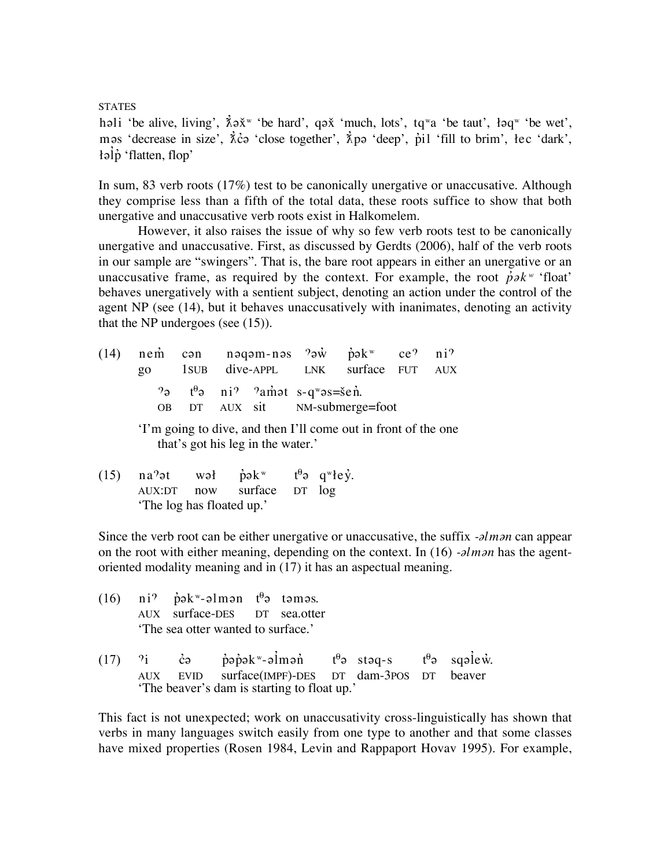**STATES** 

həli 'be alive, living',  $\lambda \rightarrow \infty$ 'be hard', q $\rightarrow \infty$ 'much, lots', tq<sup>w</sup>a 'be taut',  $\alpha \rightarrow \infty$ 'be wet', mas 'decrease in size', λ' close together', λ' pa 'deep', p' il 'fill to brim', lec 'dark',  $\phi$ <sup>i</sup>flatten, flop'

In sum, 83 verb roots (17%) test to be canonically unergative or unaccusative. Although they comprise less than a fifth of the total data, these roots suffice to show that both unergative and unaccusative verb roots exist in Halkomelem.

However, it also raises the issue of why so few verb roots test to be canonically unergative and unaccusative. First, as discussed by Gerdts (2006), half of the verb roots in our sample are "swingers". That is, the bare root appears in either an unergative or an unaccusative frame, as required by the context. For example, the root  $\dot{p}\partial k^w$  'float' behaves unergatively with a sentient subject, denoting an action under the control of the agent NP (see (14), but it behaves unaccusatively with inanimates, denoting an activity that the NP undergoes (see (15)).

(14) nem can nagam-nas  $2\pi\dot{w}$  pak<sup>w</sup> ce? ni<sup>9</sup> go 1SUB dive-APPL LNK surface FUT AUX  $\gamma$ <sup>e</sup>  $\psi$ <sup>9</sup> $\gamma$  ni<sup> $\gamma$ </sup>  $\gamma$  amot s-q<sup>w</sup>os=šen<sup>?</sup>. OB DT AUX sit NM-submerge=foot

> 'I'm going to dive, and then I'll come out in front of the one that's got his leg in the water.'

(15) na<sup>9</sup>at wał pak<sup>w</sup> t<sup> $\theta$ </sup>a q<sup>w</sup>łey<sup>\*</sup>. AUX:DT now surface DT log 'The log has floated up.'

Since the verb root can be either unergative or unaccusative, the suffix *-* $\partial l$ *m* $\partial n$  can appear on the root with either meaning, depending on the context. In  $(16)$  *-alman* has the agentoriented modality meaning and in (17) it has an aspectual meaning.

|  | $(16)$ ni <sup>9</sup> pok <sup>w</sup> -olmon t <sup>0</sup> o tomos.<br>'The sea otter wanted to surface.' |  | AUX surface-DES DT sea.otter                |                                                                                                                                                          |  |  |
|--|--------------------------------------------------------------------------------------------------------------|--|---------------------------------------------|----------------------------------------------------------------------------------------------------------------------------------------------------------|--|--|
|  |                                                                                                              |  | 'The beaver's dam is starting to float up.' | (17) <sup><math>\dot{v}_1</math></sup> co popok - olmon t <sup>o</sup> stoq-s t <sup>o</sup> sqolew.<br>AUX EVID surface(IMPF)-DES DT dam-3POS DT beaver |  |  |

This fact is not unexpected; work on unaccusativity cross-linguistically has shown that verbs in many languages switch easily from one type to another and that some classes have mixed properties (Rosen 1984, Levin and Rappaport Hovav 1995). For example,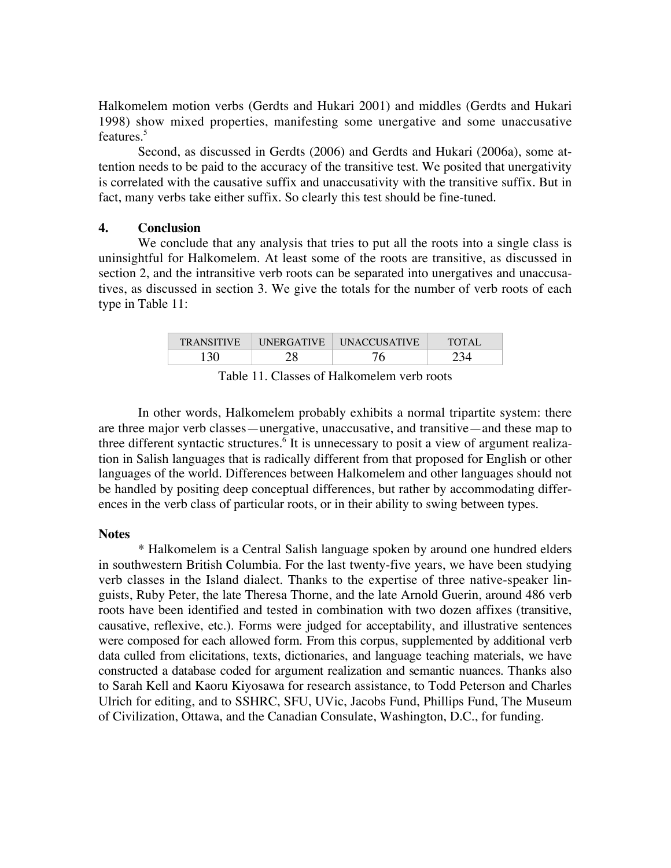Halkomelem motion verbs (Gerdts and Hukari 2001) and middles (Gerdts and Hukari 1998) show mixed properties, manifesting some unergative and some unaccusative features.<sup>5</sup>

Second, as discussed in Gerdts (2006) and Gerdts and Hukari (2006a), some attention needs to be paid to the accuracy of the transitive test. We posited that unergativity is correlated with the causative suffix and unaccusativity with the transitive suffix. But in fact, many verbs take either suffix. So clearly this test should be fine-tuned.

### **4. Conclusion**

We conclude that any analysis that tries to put all the roots into a single class is uninsightful for Halkomelem. At least some of the roots are transitive, as discussed in section 2, and the intransitive verb roots can be separated into unergatives and unaccusatives, as discussed in section 3. We give the totals for the number of verb roots of each type in Table 11:

| <b>TRANSITIVE</b> | <b>UNERGATIVE</b> | <b>UNACCUSATIVE</b> | <b>TOTAL</b> |
|-------------------|-------------------|---------------------|--------------|
| 36                | 0                 |                     |              |

Table 11. Classes of Halkomelem verb roots

In other words, Halkomelem probably exhibits a normal tripartite system: there are three major verb classes—unergative, unaccusative, and transitive—and these map to three different syntactic structures.<sup>6</sup> It is unnecessary to posit a view of argument realization in Salish languages that is radically different from that proposed for English or other languages of the world. Differences between Halkomelem and other languages should not be handled by positing deep conceptual differences, but rather by accommodating differences in the verb class of particular roots, or in their ability to swing between types.

#### **Notes**

\* Halkomelem is a Central Salish language spoken by around one hundred elders in southwestern British Columbia. For the last twenty-five years, we have been studying verb classes in the Island dialect. Thanks to the expertise of three native-speaker linguists, Ruby Peter, the late Theresa Thorne, and the late Arnold Guerin, around 486 verb roots have been identified and tested in combination with two dozen affixes (transitive, causative, reflexive, etc.). Forms were judged for acceptability, and illustrative sentences were composed for each allowed form. From this corpus, supplemented by additional verb data culled from elicitations, texts, dictionaries, and language teaching materials, we have constructed a database coded for argument realization and semantic nuances. Thanks also to Sarah Kell and Kaoru Kiyosawa for research assistance, to Todd Peterson and Charles Ulrich for editing, and to SSHRC, SFU, UVic, Jacobs Fund, Phillips Fund, The Museum of Civilization, Ottawa, and the Canadian Consulate, Washington, D.C., for funding.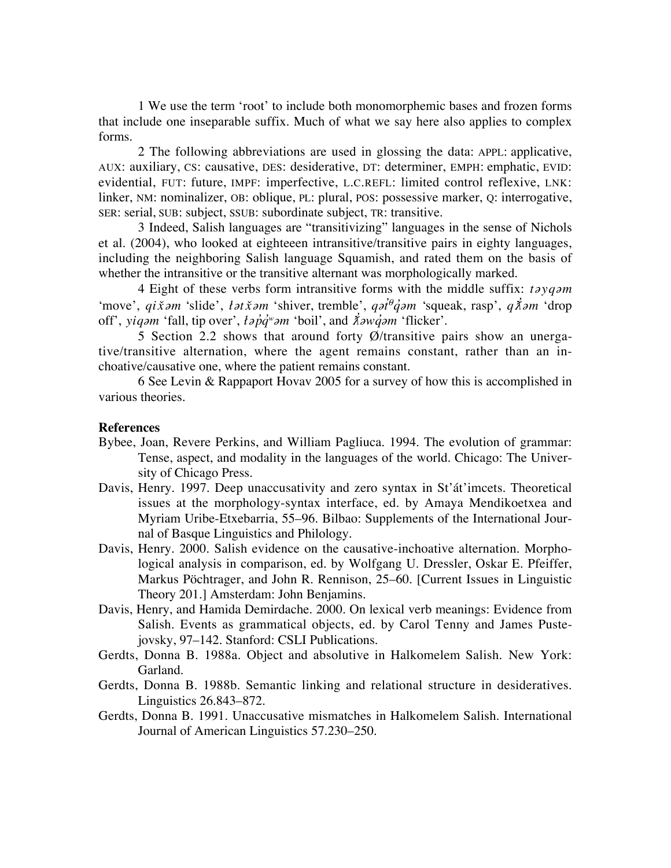1 We use the term 'root' to include both monomorphemic bases and frozen forms that include one inseparable suffix. Much of what we say here also applies to complex forms.

2 The following abbreviations are used in glossing the data: APPL: applicative, AUX: auxiliary, CS: causative, DES: desiderative, DT: determiner, EMPH: emphatic, EVID: evidential, FUT: future, IMPF: imperfective, L.C.REFL: limited control reflexive, LNK: linker, NM: nominalizer, OB: oblique, PL: plural, POS: possessive marker, Q: interrogative, SER: serial, SUB: subject, SSUB: subordinate subject, TR: transitive.

3 Indeed, Salish languages are "transitivizing" languages in the sense of Nichols et al. (2004), who looked at eighteeen intransitive/transitive pairs in eighty languages, including the neighboring Salish language Squamish, and rated them on the basis of whether the intransitive or the transitive alternant was morphologically marked.

4 Eight of these verbs form intransitive forms with the middle suffix: *tayqam* 'move', *qi x̃am* 'slide', *łat x̃am* 'shiver, tremble', *qat<sup>e</sup>q`am* 'squeak, rasp', *q Xam* 'drop off', *yiqam* 'fall, tip over', *łap<sup>'</sup>q<sup>'</sup>"am* 'boil', and *λ*<sup>2</sup>*aw q'am* 'flicker'.

5 Section 2.2 shows that around forty Ø/transitive pairs show an unergative/transitive alternation, where the agent remains constant, rather than an inchoative/causative one, where the patient remains constant.

6 See Levin & Rappaport Hovav 2005 for a survey of how this is accomplished in various theories.

### **References**

- Bybee, Joan, Revere Perkins, and William Pagliuca. 1994. The evolution of grammar: Tense, aspect, and modality in the languages of the world. Chicago: The University of Chicago Press.
- Davis, Henry. 1997. Deep unaccusativity and zero syntax in St'át'imcets. Theoretical issues at the morphology-syntax interface, ed. by Amaya Mendikoetxea and Myriam Uribe-Etxebarria, 55–96. Bilbao: Supplements of the International Journal of Basque Linguistics and Philology.
- Davis, Henry. 2000. Salish evidence on the causative-inchoative alternation. Morphological analysis in comparison, ed. by Wolfgang U. Dressler, Oskar E. Pfeiffer, Markus Pöchtrager, and John R. Rennison, 25–60. [Current Issues in Linguistic Theory 201.] Amsterdam: John Benjamins.
- Davis, Henry, and Hamida Demirdache. 2000. On lexical verb meanings: Evidence from Salish. Events as grammatical objects, ed. by Carol Tenny and James Pustejovsky, 97–142. Stanford: CSLI Publications.
- Gerdts, Donna B. 1988a. Object and absolutive in Halkomelem Salish*.* New York: Garland.
- Gerdts, Donna B. 1988b. Semantic linking and relational structure in desideratives. Linguistics 26.843–872.
- Gerdts, Donna B. 1991. Unaccusative mismatches in Halkomelem Salish. International Journal of American Linguistics 57.230–250.